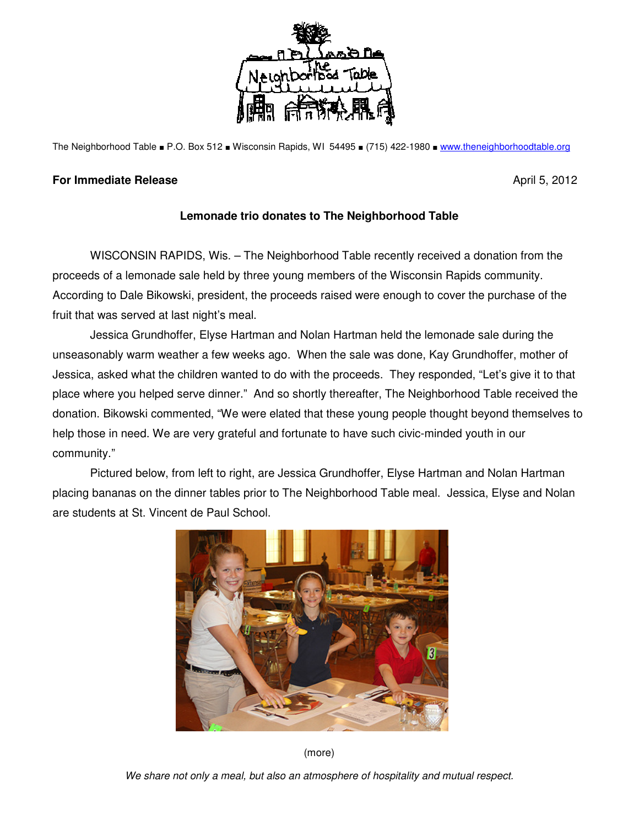

The Neighborhood Table ■ P.O. Box 512 ■ Wisconsin Rapids, WI 54495 ■ (715) 422-1980 ■ www.theneighborhoodtable.org

## **For Immediate Release April 5, 2012**

## **Lemonade trio donates to The Neighborhood Table**

 WISCONSIN RAPIDS, Wis. – The Neighborhood Table recently received a donation from the proceeds of a lemonade sale held by three young members of the Wisconsin Rapids community. According to Dale Bikowski, president, the proceeds raised were enough to cover the purchase of the fruit that was served at last night's meal.

 Jessica Grundhoffer, Elyse Hartman and Nolan Hartman held the lemonade sale during the unseasonably warm weather a few weeks ago. When the sale was done, Kay Grundhoffer, mother of Jessica, asked what the children wanted to do with the proceeds. They responded, "Let's give it to that place where you helped serve dinner." And so shortly thereafter, The Neighborhood Table received the donation. Bikowski commented, "We were elated that these young people thought beyond themselves to help those in need. We are very grateful and fortunate to have such civic-minded youth in our community."

 Pictured below, from left to right, are Jessica Grundhoffer, Elyse Hartman and Nolan Hartman placing bananas on the dinner tables prior to The Neighborhood Table meal. Jessica, Elyse and Nolan are students at St. Vincent de Paul School.



(more)

We share not only a meal, but also an atmosphere of hospitality and mutual respect.